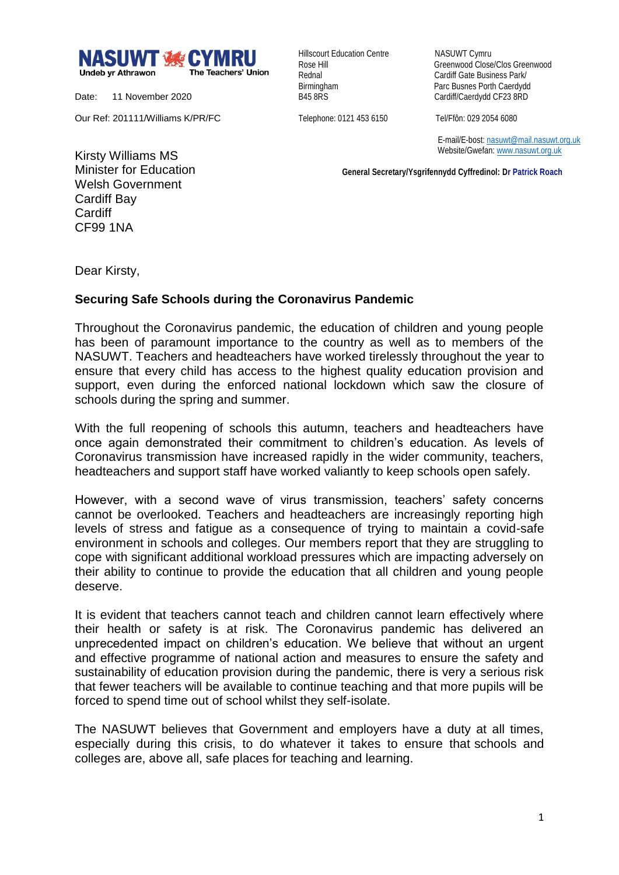

Date: 11 November 2020

Our Ref: 201111/Williams K/PR/FC

Hillscourt Education Centre NASUWT Cymru

Rose Hill Greenwood Close/Clos Greenwood Rednal **Cardiff Gate Business Park/** Birmingham Parc Busnes Porth Caerdydd<br>
B45 8RS<br>
Cardiff/Caerdydd CF23 8RD Cardiff/Caerdydd CF23 8RD

Telephone: 0121 453 6150 Tel/Ffôn: 029 2054 6080

 E-mail/E-bost[: nasuwt@mail.nasuwt.org.uk](mailto:nasuwt@mail.nasuwt.org.uk) Website/Gwefan: [www.nasuwt.org.uk](http://www.nasuwt.org.uk/)

 **General Secretary/Ysgrifennydd Cyffredinol: Dr Patrick Roach**

Kirsty Williams MS Minister for Education Welsh Government Cardiff Bay Cardiff CF99 1NA

Dear Kirsty,

## **Securing Safe Schools during the Coronavirus Pandemic**

Throughout the Coronavirus pandemic, the education of children and young people has been of paramount importance to the country as well as to members of the NASUWT. Teachers and headteachers have worked tirelessly throughout the year to ensure that every child has access to the highest quality education provision and support, even during the enforced national lockdown which saw the closure of schools during the spring and summer.

With the full reopening of schools this autumn, teachers and headteachers have once again demonstrated their commitment to children's education. As levels of Coronavirus transmission have increased rapidly in the wider community, teachers, headteachers and support staff have worked valiantly to keep schools open safely.

However, with a second wave of virus transmission, teachers' safety concerns cannot be overlooked. Teachers and headteachers are increasingly reporting high levels of stress and fatigue as a consequence of trying to maintain a covid-safe environment in schools and colleges. Our members report that they are struggling to cope with significant additional workload pressures which are impacting adversely on their ability to continue to provide the education that all children and young people deserve.

It is evident that teachers cannot teach and children cannot learn effectively where their health or safety is at risk. The Coronavirus pandemic has delivered an unprecedented impact on children's education. We believe that without an urgent and effective programme of national action and measures to ensure the safety and sustainability of education provision during the pandemic, there is very a serious risk that fewer teachers will be available to continue teaching and that more pupils will be forced to spend time out of school whilst they self-isolate.

The NASUWT believes that Government and employers have a duty at all times, especially during this crisis, to do whatever it takes to ensure that schools and colleges are, above all, safe places for teaching and learning.